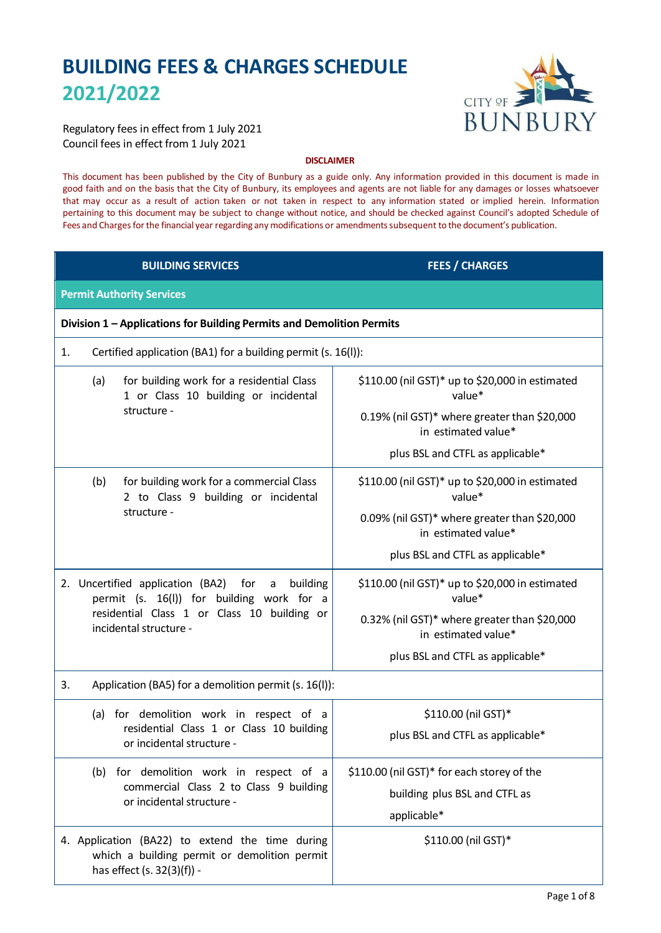# **BUILDING FEES & CHARGES SCHEDULE 2021/2022**



Regulatory fees in effect from 1 July 2021 Council fees in effect from 1 July 2021

# **DISCLAIMER**

This document has been published by the City of Bunbury as a guide only. Any information provided in this document is made in good faith and on the basis that the City of Bunbury, its employees and agents are not liable for any damages or losses whatsoever that may occur as a result of action taken or not taken in respect to any information stated or implied herein. Information pertaining to this document may be subject to change without notice, and should be checked against Council's adopted Schedule of Fees and Charges for the financial year regarding any modifications or amendments subsequent to the document's publication.

| <b>BUILDING SERVICES</b>                                                                                                      | <b>FEES / CHARGES</b>                                               |  |
|-------------------------------------------------------------------------------------------------------------------------------|---------------------------------------------------------------------|--|
| <b>Permit Authority Services</b>                                                                                              |                                                                     |  |
| Division 1 - Applications for Building Permits and Demolition Permits                                                         |                                                                     |  |
| Certified application (BA1) for a building permit (s. 16(l)):<br>1.                                                           |                                                                     |  |
| for building work for a residential Class<br>(a)<br>1 or Class 10 building or incidental                                      | \$110.00 (nil GST)* up to \$20,000 in estimated<br>value*           |  |
| structure -                                                                                                                   | 0.19% (nil GST)* where greater than \$20,000<br>in estimated value* |  |
|                                                                                                                               | plus BSL and CTFL as applicable*                                    |  |
| (b)<br>for building work for a commercial Class<br>2 to Class 9 building or incidental                                        | \$110.00 (nil GST)* up to \$20,000 in estimated<br>value*           |  |
| structure -                                                                                                                   | 0.09% (nil GST)* where greater than \$20,000<br>in estimated value* |  |
|                                                                                                                               | plus BSL and CTFL as applicable*                                    |  |
| 2. Uncertified application (BA2) for<br>building<br>a<br>permit (s. 16(I)) for building work for a                            | \$110.00 (nil GST)* up to \$20,000 in estimated<br>value*           |  |
| residential Class 1 or Class 10 building or<br>incidental structure -                                                         | 0.32% (nil GST)* where greater than \$20,000<br>in estimated value* |  |
|                                                                                                                               | plus BSL and CTFL as applicable*                                    |  |
| 3.<br>Application (BA5) for a demolition permit (s. 16(I)):                                                                   |                                                                     |  |
| (a) for demolition work in respect of a                                                                                       | \$110.00 (nil GST)*                                                 |  |
| residential Class 1 or Class 10 building<br>or incidental structure -                                                         | plus BSL and CTFL as applicable*                                    |  |
| (b) for demolition work in respect of a                                                                                       | \$110.00 (nil GST)* for each storey of the                          |  |
| commercial Class 2 to Class 9 building<br>or incidental structure -                                                           | building plus BSL and CTFL as                                       |  |
|                                                                                                                               | applicable*                                                         |  |
| 4. Application (BA22) to extend the time during<br>which a building permit or demolition permit<br>has effect (s. 32(3)(f)) - | \$110.00 (nil GST)*                                                 |  |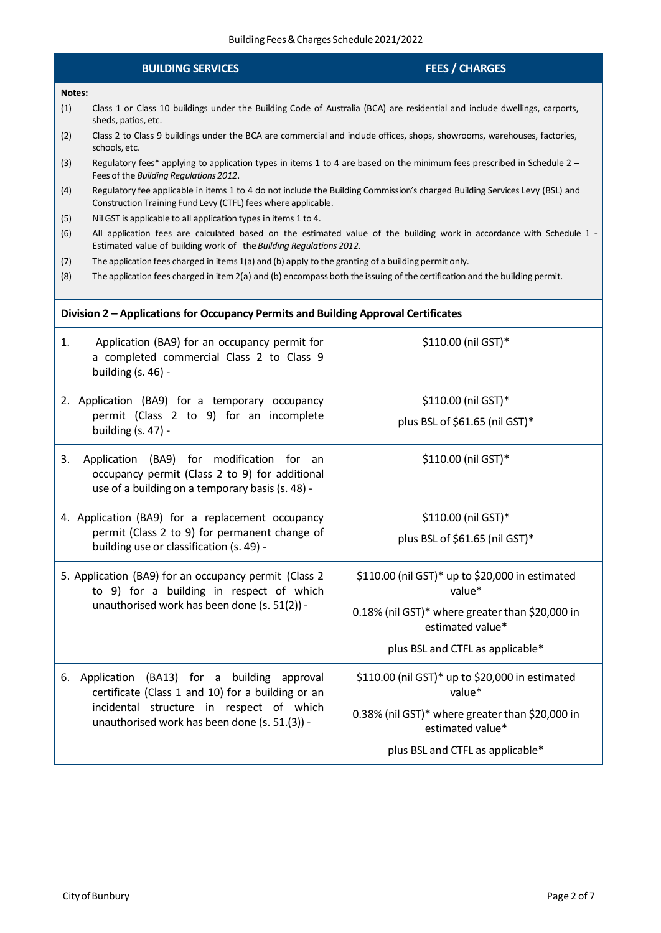# **BUILDING SERVICES FEES / CHARGES**

### **Notes:**

- (1) Class 1 or Class 10 buildings under the Building Code of Australia (BCA) are residential and include dwellings, carports, sheds, patios, etc.
- (2) Class 2 to Class 9 buildings under the BCA are commercial and include offices, shops, showrooms, warehouses, factories, schools, etc.
- (3) Regulatory fees\* applying to application types in items 1 to 4 are based on the minimum fees prescribed in Schedule 2 Fees of the *Building Regulations 2012*.
- (4) Regulatory fee applicable in items 1 to 4 do not include the Building Commission's charged Building Services Levy (BSL) and Construction Training Fund Levy (CTFL) fees where applicable.
- (5) Nil GST is applicable to all application types in items 1 to 4.
- (6) All application fees are calculated based on the estimated value of the building work in accordance with Schedule 1 Estimated value of building work of the*Building Regulations 2012*.
- (7) The application fees charged in items 1(a) and (b) apply to the granting of a building permit only.
- (8) The application fees charged in item2(a) and (b) encompass both theissuing of the certification and the building permit.

### **Division 2 – Applications for Occupancy Permits and Building Approval Certificates**

| Application (BA9) for an occupancy permit for<br>1.<br>a completed commercial Class 2 to Class 9<br>building (s. 46) -                                                                             | \$110.00 (nil GST)*                                                                                                                                                  |  |
|----------------------------------------------------------------------------------------------------------------------------------------------------------------------------------------------------|----------------------------------------------------------------------------------------------------------------------------------------------------------------------|--|
| 2. Application (BA9) for a temporary occupancy<br>permit (Class 2 to 9) for an incomplete<br>building $(s. 47)$ -                                                                                  | \$110.00 (nil GST)*<br>plus BSL of \$61.65 (nil GST)*                                                                                                                |  |
| Application (BA9) for modification for an<br>3.<br>occupancy permit (Class 2 to 9) for additional<br>use of a building on a temporary basis (s. 48) -                                              | \$110.00 (nil GST)*                                                                                                                                                  |  |
| 4. Application (BA9) for a replacement occupancy<br>permit (Class 2 to 9) for permanent change of<br>building use or classification (s. 49) -                                                      | \$110.00 (nil GST)*<br>plus BSL of \$61.65 (nil GST)*                                                                                                                |  |
| 5. Application (BA9) for an occupancy permit (Class 2<br>to 9) for a building in respect of which<br>unauthorised work has been done (s. 51(2)) -                                                  | \$110.00 (nil GST)* up to \$20,000 in estimated<br>value*<br>0.18% (nil GST)* where greater than \$20,000 in<br>estimated value*<br>plus BSL and CTFL as applicable* |  |
| Application (BA13) for a building approval<br>6.<br>certificate (Class 1 and 10) for a building or an<br>incidental structure in respect of which<br>unauthorised work has been done (s. 51.(3)) - | \$110.00 (nil GST)* up to \$20,000 in estimated<br>value*<br>0.38% (nil GST)* where greater than \$20,000 in<br>estimated value*<br>plus BSL and CTFL as applicable* |  |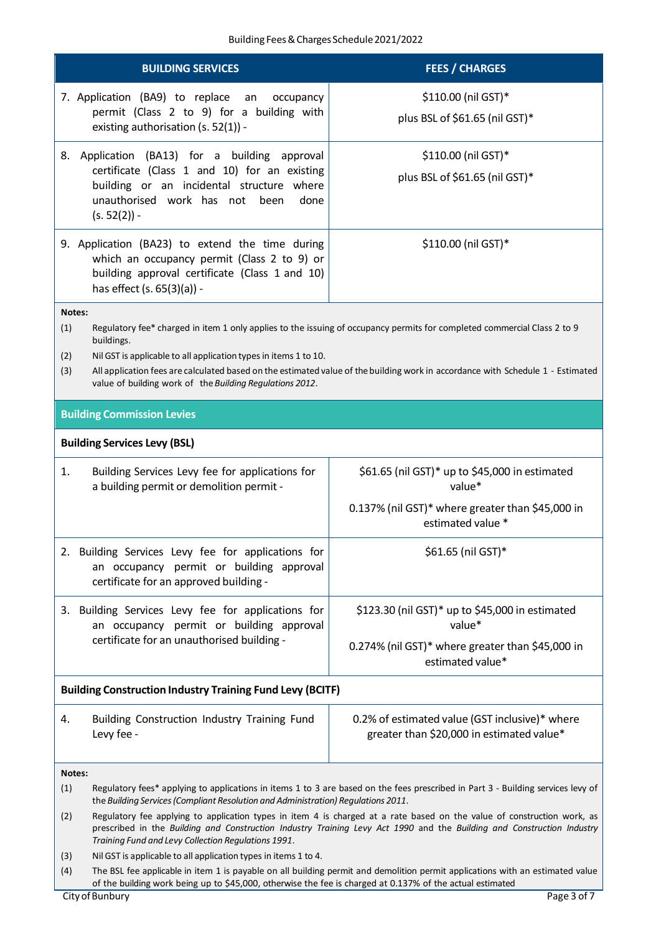| <b>BUILDING SERVICES</b>                                                                                                                                                                                                                                                                                                                                                                                                                 |                                                                                                                                                                                                                                                                                                          | <b>FEES / CHARGES</b>                                                                                                            |  |
|------------------------------------------------------------------------------------------------------------------------------------------------------------------------------------------------------------------------------------------------------------------------------------------------------------------------------------------------------------------------------------------------------------------------------------------|----------------------------------------------------------------------------------------------------------------------------------------------------------------------------------------------------------------------------------------------------------------------------------------------------------|----------------------------------------------------------------------------------------------------------------------------------|--|
| 7. Application (BA9) to replace an<br>occupancy<br>permit (Class 2 to 9) for a building with<br>existing authorisation (s. 52(1)) -                                                                                                                                                                                                                                                                                                      |                                                                                                                                                                                                                                                                                                          | \$110.00 (nil GST)*<br>plus BSL of \$61.65 (nil GST)*                                                                            |  |
| 8.                                                                                                                                                                                                                                                                                                                                                                                                                                       | Application (BA13) for a building approval<br>certificate (Class 1 and 10) for an existing<br>building or an incidental structure where<br>unauthorised work has not been<br>done<br>$(s. 52(2)) -$                                                                                                      | \$110.00 (nil GST)*<br>plus BSL of \$61.65 (nil GST)*                                                                            |  |
|                                                                                                                                                                                                                                                                                                                                                                                                                                          | 9. Application (BA23) to extend the time during<br>which an occupancy permit (Class 2 to 9) or<br>building approval certificate (Class 1 and 10)<br>has effect (s. 65(3)(a)) -                                                                                                                           | \$110.00 (nil GST)*                                                                                                              |  |
| Notes:<br>(1)<br>Regulatory fee* charged in item 1 only applies to the issuing of occupancy permits for completed commercial Class 2 to 9<br>buildings.<br>(2)<br>Nil GST is applicable to all application types in items 1 to 10.<br>All application fees are calculated based on the estimated value of the building work in accordance with Schedule 1 - Estimated<br>(3)<br>value of building work of the Building Regulations 2012. |                                                                                                                                                                                                                                                                                                          |                                                                                                                                  |  |
| <b>Building Commission Levies</b>                                                                                                                                                                                                                                                                                                                                                                                                        |                                                                                                                                                                                                                                                                                                          |                                                                                                                                  |  |
|                                                                                                                                                                                                                                                                                                                                                                                                                                          | <b>Building Services Levy (BSL)</b>                                                                                                                                                                                                                                                                      |                                                                                                                                  |  |
| 1.                                                                                                                                                                                                                                                                                                                                                                                                                                       | Building Services Levy fee for applications for<br>a building permit or demolition permit -                                                                                                                                                                                                              | \$61.65 (nil GST)* up to \$45,000 in estimated<br>value*                                                                         |  |
|                                                                                                                                                                                                                                                                                                                                                                                                                                          |                                                                                                                                                                                                                                                                                                          | 0.137% (nil GST)* where greater than \$45,000 in<br>estimated value *                                                            |  |
| 2.                                                                                                                                                                                                                                                                                                                                                                                                                                       | Building Services Levy fee for applications for<br>\$61.65 (nil GST)*<br>an occupancy permit or building approval<br>certificate for an approved building -                                                                                                                                              |                                                                                                                                  |  |
|                                                                                                                                                                                                                                                                                                                                                                                                                                          | 3. Building Services Levy fee for applications for<br>an occupancy permit or building approval                                                                                                                                                                                                           | \$123.30 (nil GST)* up to \$45,000 in estimated<br>value*                                                                        |  |
|                                                                                                                                                                                                                                                                                                                                                                                                                                          | certificate for an unauthorised building -                                                                                                                                                                                                                                                               | 0.274% (nil GST)* where greater than \$45,000 in<br>estimated value*                                                             |  |
|                                                                                                                                                                                                                                                                                                                                                                                                                                          | <b>Building Construction Industry Training Fund Levy (BCITF)</b>                                                                                                                                                                                                                                         |                                                                                                                                  |  |
| 4.                                                                                                                                                                                                                                                                                                                                                                                                                                       | Building Construction Industry Training Fund<br>Levy fee -                                                                                                                                                                                                                                               | 0.2% of estimated value (GST inclusive)* where<br>greater than \$20,000 in estimated value*                                      |  |
| Notes:                                                                                                                                                                                                                                                                                                                                                                                                                                   |                                                                                                                                                                                                                                                                                                          |                                                                                                                                  |  |
| (1)                                                                                                                                                                                                                                                                                                                                                                                                                                      | the Building Services (Compliant Resolution and Administration) Regulations 2011.                                                                                                                                                                                                                        | Regulatory fees* applying to applications in items 1 to 3 are based on the fees prescribed in Part 3 - Building services levy of |  |
| (2)                                                                                                                                                                                                                                                                                                                                                                                                                                      | Regulatory fee applying to application types in item 4 is charged at a rate based on the value of construction work, as<br>prescribed in the Building and Construction Industry Training Levy Act 1990 and the Building and Construction Industry<br>Training Fund and Levy Collection Regulations 1991. |                                                                                                                                  |  |
| (3)                                                                                                                                                                                                                                                                                                                                                                                                                                      | Nil GST is applicable to all application types in items 1 to 4.                                                                                                                                                                                                                                          |                                                                                                                                  |  |
| (4)                                                                                                                                                                                                                                                                                                                                                                                                                                      | The BSL fee applicable in item 1 is payable on all building permit and demolition permit applications with an estimated value<br>of the building work being up to \$45,000, otherwise the fee is charged at 0.137% of the actual estimated                                                               |                                                                                                                                  |  |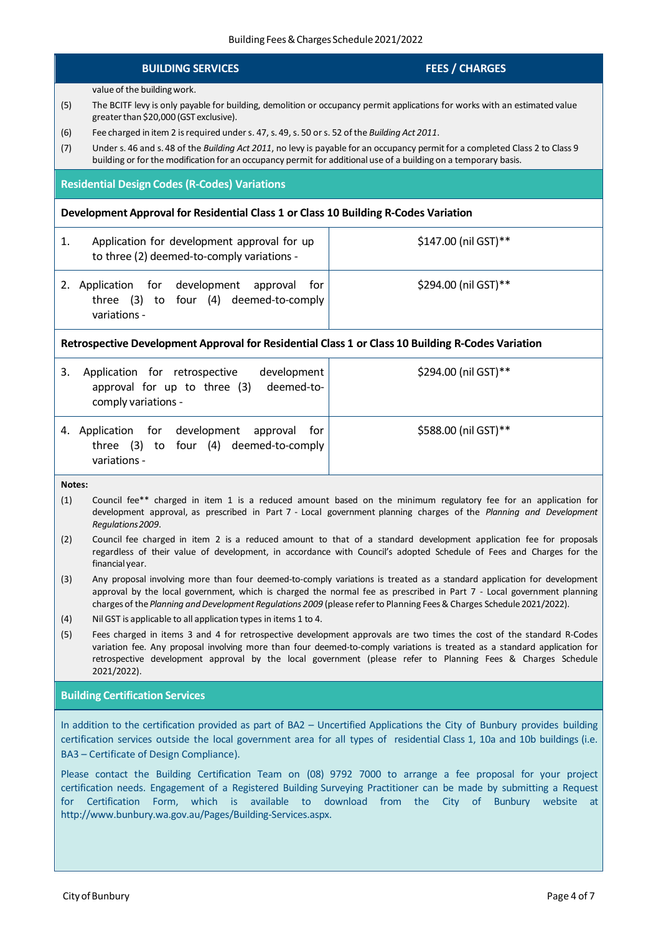# **BUILDING SERVICES FEES / CHARGES**

value of the buildingwork.

- (5) The BCITF levy is only payable for building, demolition or occupancy permit applications for works with an estimated value greater than \$20,000 (GST exclusive).
- (6) Fee charged in item 2 isrequired unders. 47,s. 49,s. 50 ors. 52 ofthe *Building Act 2011*.
- (7) Under s. 46 and s. 48 of the *Building Act 2011*, no levy is payable for an occupancy permit for a completed Class 2 to Class 9 building or for the modification for an occupancy permit for additional use of a building on a temporary basis.

# **Residential Design Codes (R-Codes) Variations**

# **Development Approval for Residential Class 1 or Class 10 Building R-Codes Variation**

| 1. | Application for development approval for up<br>to three (2) deemed-to-comply variations -                    | \$147.00 (nil GST)** |
|----|--------------------------------------------------------------------------------------------------------------|----------------------|
|    | 2. Application for development approval<br>for<br>three $(3)$ to four $(4)$ deemed-to-comply<br>variations - | \$294.00 (nil GST)** |

# **Retrospective Development Approval for Residential Class 1 or Class 10 Building R-Codes Variation**

| 3. | Application for retrospective<br>development<br>approval for up to three (3)<br>deemed-to-<br>comply variations - | \$294.00 (nil GST)** |
|----|-------------------------------------------------------------------------------------------------------------------|----------------------|
|    | 4. Application for development approval<br>for<br>three (3) to four (4) deemed-to-comply<br>variations -          | \$588.00 (nil GST)** |

**Notes:**

- (1) Council fee\*\* charged in item 1 is a reduced amount based on the minimum regulatory fee for an application for development approval, as prescribed in Part 7 - Local government planning charges of the *Planning and Development Regulations2009*.
- (2) Council fee charged in item 2 is a reduced amount to that of a standard development application fee for proposals regardless of their value of development, in accordance with Council's adopted Schedule of Fees and Charges for the financial year.
- (3) Any proposal involving more than four deemed-to-comply variations is treated as a standard application for development approval by the local government, which is charged the normal fee as prescribed in Part 7 - Local government planning charges of the*Planning andDevelopmentRegulations 2009* (please referto Planning Fees& Charges Schedule2021/2022).
- (4) Nil GST is applicable to all application types in items 1 to 4.
- (5) Fees charged in items 3 and 4 for retrospective development approvals are two times the cost of the standard R-Codes variation fee. Any proposal involving more than four deemed-to-comply variations is treated as a standard application for retrospective development approval by the local government (please refer to Planning Fees & Charges Schedule 2021/2022).

# **Building Certification Services**

In addition to the certification provided as part of BA2 – Uncertified Applications the City of Bunbury provides building certification services outside the local government area for all types of residential Class 1, 10a and 10b buildings (i.e. BA3 – Certificate of Design Compliance).

Please contact the Building Certification Team on (08) 9792 7000 to arrange a fee proposal for your project certification needs. Engagement of a Registered Building Surveying Practitioner can be made by submitting a Request for Certification Form, which is available to download from the City of Bunbury website at [http://www.bunbury.wa.gov.au/Pages/Building-Services.aspx.](http://www.bunbury.wa.gov.au/Pages/Building-Services.aspx)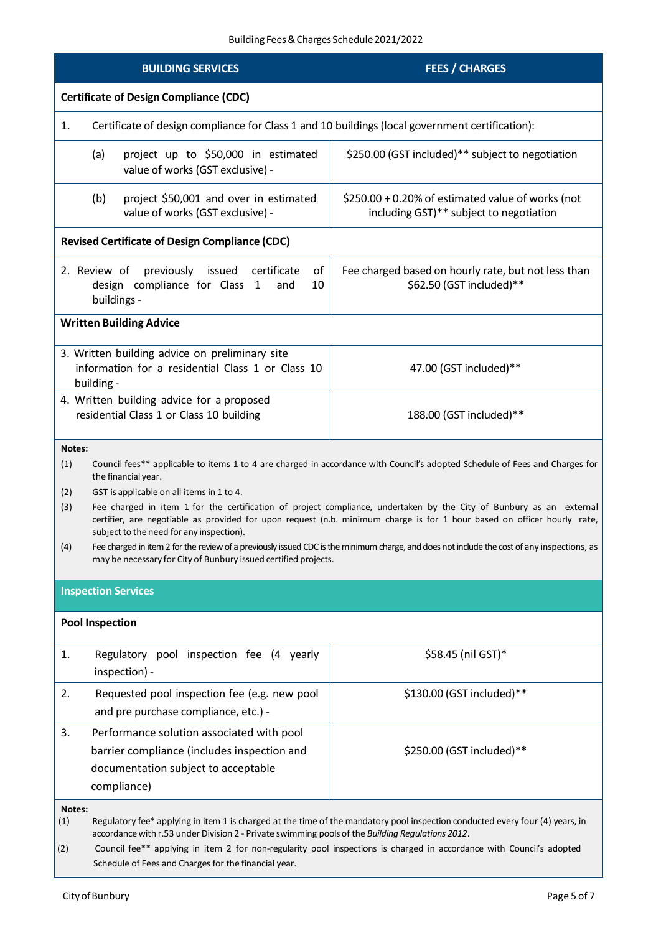| <b>BUILDING SERVICES</b>                                                                                                                                                                                                                                                                                                                                                                                                                                                                                                                                                                                                                                                                                                                              | <b>FEES / CHARGES</b>                                                                        |  |  |
|-------------------------------------------------------------------------------------------------------------------------------------------------------------------------------------------------------------------------------------------------------------------------------------------------------------------------------------------------------------------------------------------------------------------------------------------------------------------------------------------------------------------------------------------------------------------------------------------------------------------------------------------------------------------------------------------------------------------------------------------------------|----------------------------------------------------------------------------------------------|--|--|
| <b>Certificate of Design Compliance (CDC)</b>                                                                                                                                                                                                                                                                                                                                                                                                                                                                                                                                                                                                                                                                                                         |                                                                                              |  |  |
| Certificate of design compliance for Class 1 and 10 buildings (local government certification):<br>1.                                                                                                                                                                                                                                                                                                                                                                                                                                                                                                                                                                                                                                                 |                                                                                              |  |  |
| (a)<br>project up to \$50,000 in estimated<br>value of works (GST exclusive) -                                                                                                                                                                                                                                                                                                                                                                                                                                                                                                                                                                                                                                                                        | \$250.00 (GST included)** subject to negotiation                                             |  |  |
| project \$50,001 and over in estimated<br>(b)<br>value of works (GST exclusive) -                                                                                                                                                                                                                                                                                                                                                                                                                                                                                                                                                                                                                                                                     | \$250.00 + 0.20% of estimated value of works (not<br>including GST)** subject to negotiation |  |  |
| <b>Revised Certificate of Design Compliance (CDC)</b>                                                                                                                                                                                                                                                                                                                                                                                                                                                                                                                                                                                                                                                                                                 |                                                                                              |  |  |
| of<br>previously<br>issued<br>Fee charged based on hourly rate, but not less than<br>2. Review of<br>certificate<br>\$62.50 (GST included)**<br>design compliance for Class 1<br>10<br>and<br>buildings -                                                                                                                                                                                                                                                                                                                                                                                                                                                                                                                                             |                                                                                              |  |  |
| <b>Written Building Advice</b>                                                                                                                                                                                                                                                                                                                                                                                                                                                                                                                                                                                                                                                                                                                        |                                                                                              |  |  |
| 3. Written building advice on preliminary site<br>information for a residential Class 1 or Class 10<br>47.00 (GST included)**<br>building -                                                                                                                                                                                                                                                                                                                                                                                                                                                                                                                                                                                                           |                                                                                              |  |  |
| 4. Written building advice for a proposed<br>residential Class 1 or Class 10 building<br>188.00 (GST included)**                                                                                                                                                                                                                                                                                                                                                                                                                                                                                                                                                                                                                                      |                                                                                              |  |  |
| Notes:<br>(1)<br>Council fees** applicable to items 1 to 4 are charged in accordance with Council's adopted Schedule of Fees and Charges for<br>the financial year.<br>(2)<br>GST is applicable on all items in 1 to 4.<br>(3)<br>Fee charged in item 1 for the certification of project compliance, undertaken by the City of Bunbury as an external<br>certifier, are negotiable as provided for upon request (n.b. minimum charge is for 1 hour based on officer hourly rate,<br>subject to the need for any inspection).<br>Fee charged in item 2 for the review of a previously issued CDC is the minimum charge, and does not include the cost of any inspections, as<br>(4)<br>may be necessary for City of Bunbury issued certified projects. |                                                                                              |  |  |
| <b>Inspection Services</b>                                                                                                                                                                                                                                                                                                                                                                                                                                                                                                                                                                                                                                                                                                                            |                                                                                              |  |  |
| <b>Pool Inspection</b>                                                                                                                                                                                                                                                                                                                                                                                                                                                                                                                                                                                                                                                                                                                                |                                                                                              |  |  |
| Regulatory pool inspection fee (4 yearly<br>1.<br>inspection) -                                                                                                                                                                                                                                                                                                                                                                                                                                                                                                                                                                                                                                                                                       | \$58.45 (nil GST)*                                                                           |  |  |
| 2.<br>Requested pool inspection fee (e.g. new pool<br>and pre purchase compliance, etc.) -                                                                                                                                                                                                                                                                                                                                                                                                                                                                                                                                                                                                                                                            | \$130.00 (GST included)**                                                                    |  |  |
| Performance solution associated with pool<br>3.<br>barrier compliance (includes inspection and<br>documentation subject to acceptable<br>compliance)                                                                                                                                                                                                                                                                                                                                                                                                                                                                                                                                                                                                  | \$250.00 (GST included)**                                                                    |  |  |
| Notes:<br>Regulatory fee* applying in item 1 is charged at the time of the mandatory pool inspection conducted every four (4) years, in<br>(1)<br>accordance with r.53 under Division 2 - Private swimming pools of the Building Regulations 2012.                                                                                                                                                                                                                                                                                                                                                                                                                                                                                                    |                                                                                              |  |  |

 $(2)$  Council fee\*\* applying in item 2 for non-regularity pool inspections is charged in accordance with Council's adopted Schedule of Fees and Charges for the financial year.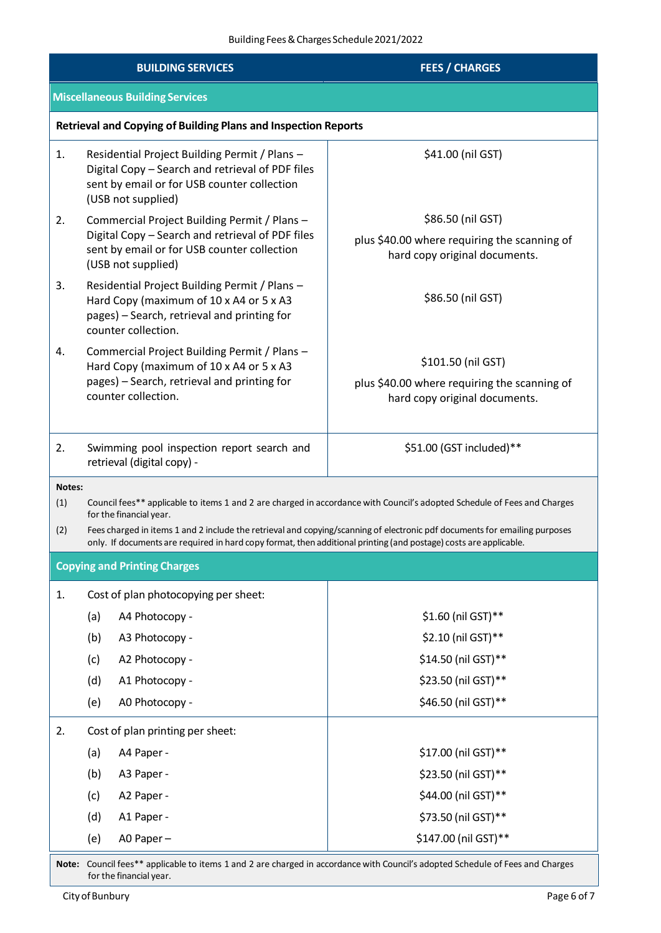| <b>BUILDING SERVICES</b> |                                                                                                                                                                                                                                                                                                                                                                                                                  | <b>FEES / CHARGES</b>                                                                               |  |  |
|--------------------------|------------------------------------------------------------------------------------------------------------------------------------------------------------------------------------------------------------------------------------------------------------------------------------------------------------------------------------------------------------------------------------------------------------------|-----------------------------------------------------------------------------------------------------|--|--|
|                          | <b>Miscellaneous Building Services</b>                                                                                                                                                                                                                                                                                                                                                                           |                                                                                                     |  |  |
|                          | <b>Retrieval and Copying of Building Plans and Inspection Reports</b>                                                                                                                                                                                                                                                                                                                                            |                                                                                                     |  |  |
| 1.                       | Residential Project Building Permit / Plans -<br>Digital Copy - Search and retrieval of PDF files<br>sent by email or for USB counter collection<br>(USB not supplied)                                                                                                                                                                                                                                           | \$41.00 (nil GST)                                                                                   |  |  |
| 2.                       | Commercial Project Building Permit / Plans -<br>Digital Copy - Search and retrieval of PDF files<br>sent by email or for USB counter collection<br>(USB not supplied)                                                                                                                                                                                                                                            | \$86.50 (nil GST)<br>plus \$40.00 where requiring the scanning of<br>hard copy original documents.  |  |  |
| 3.                       | Residential Project Building Permit / Plans -<br>Hard Copy (maximum of 10 x A4 or 5 x A3<br>pages) - Search, retrieval and printing for<br>counter collection.                                                                                                                                                                                                                                                   | \$86.50 (nil GST)                                                                                   |  |  |
| 4.                       | Commercial Project Building Permit / Plans -<br>Hard Copy (maximum of 10 x A4 or 5 x A3<br>pages) - Search, retrieval and printing for<br>counter collection.                                                                                                                                                                                                                                                    | \$101.50 (nil GST)<br>plus \$40.00 where requiring the scanning of<br>hard copy original documents. |  |  |
| 2.                       | Swimming pool inspection report search and<br>retrieval (digital copy) -                                                                                                                                                                                                                                                                                                                                         | \$51.00 (GST included)**                                                                            |  |  |
| (1)<br>(2)               | Notes:<br>Council fees** applicable to items 1 and 2 are charged in accordance with Council's adopted Schedule of Fees and Charges<br>for the financial year.<br>Fees charged in items 1 and 2 include the retrieval and copying/scanning of electronic pdf documents for emailing purposes<br>only. If documents are required in hard copy format, then additional printing (and postage) costs are applicable. |                                                                                                     |  |  |
|                          | <b>Copying and Printing Charges</b>                                                                                                                                                                                                                                                                                                                                                                              |                                                                                                     |  |  |
| 1.                       | Cost of plan photocopying per sheet:                                                                                                                                                                                                                                                                                                                                                                             |                                                                                                     |  |  |
|                          | (a)<br>A4 Photocopy -                                                                                                                                                                                                                                                                                                                                                                                            | \$1.60 (nil GST)**<br>\$2.10 (nil GST)**                                                            |  |  |
|                          | (b)<br>A3 Photocopy -<br>(c)<br>A2 Photocopy -                                                                                                                                                                                                                                                                                                                                                                   | \$14.50 (nil GST)**                                                                                 |  |  |
|                          | (d)<br>A1 Photocopy -                                                                                                                                                                                                                                                                                                                                                                                            | \$23.50 (nil GST)**                                                                                 |  |  |
|                          | (e)<br>A0 Photocopy -                                                                                                                                                                                                                                                                                                                                                                                            | \$46.50 (nil GST)**                                                                                 |  |  |
|                          |                                                                                                                                                                                                                                                                                                                                                                                                                  |                                                                                                     |  |  |
| 2.                       | Cost of plan printing per sheet:<br>(a)<br>A4 Paper -                                                                                                                                                                                                                                                                                                                                                            | \$17.00 (nil GST)**                                                                                 |  |  |
|                          | (b)<br>A3 Paper -                                                                                                                                                                                                                                                                                                                                                                                                | \$23.50 (nil GST)**                                                                                 |  |  |
|                          | (c)<br>A2 Paper -                                                                                                                                                                                                                                                                                                                                                                                                | \$44.00 (nil GST)**                                                                                 |  |  |
|                          | (d)<br>A1 Paper -                                                                                                                                                                                                                                                                                                                                                                                                | \$73.50 (nil GST)**                                                                                 |  |  |
|                          | (e)<br>A0 Paper-                                                                                                                                                                                                                                                                                                                                                                                                 | \$147.00 (nil GST)**                                                                                |  |  |
|                          |                                                                                                                                                                                                                                                                                                                                                                                                                  |                                                                                                     |  |  |

**Note:** Council fees\*\* applicable to items 1 and 2 are charged in accordance with Council's adopted Schedule of Fees and Charges for the financial year.